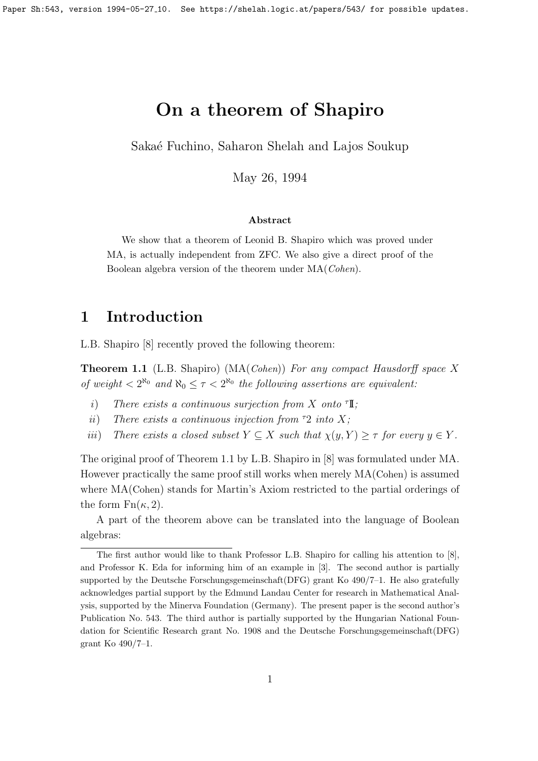## On a theorem of Shapiro

Sakaé Fuchino, Saharon Shelah and Lajos Soukup

May 26, 1994

#### Abstract

We show that a theorem of Leonid B. Shapiro which was proved under MA, is actually independent from ZFC. We also give a direct proof of the Boolean algebra version of the theorem under MA(Cohen).

#### 1 Introduction

L.B. Shapiro [8] recently proved the following theorem:

**Theorem 1.1** (L.B. Shapiro) ( $MA(Cohen)$ ) For any compact Hausdorff space X of weight  $\langle 2^{\aleph_0} \text{ and } \aleph_0 \leq \tau \langle 2^{\aleph_0} \text{ the following assertions are equivalent.}$ 

- i) There exists a continuous surjection from X onto  $\mathbb{T}$ ;
- ii) There exists a continuous injection from  $\tau$ 2 into X;
- iii) There exists a closed subset  $Y \subseteq X$  such that  $\chi(y, Y) \geq \tau$  for every  $y \in Y$ .

The original proof of Theorem 1.1 by L.B. Shapiro in [8] was formulated under MA. However practically the same proof still works when merely MA(Cohen) is assumed where MA(Cohen) stands for Martin's Axiom restricted to the partial orderings of the form  $Fn(\kappa, 2)$ .

A part of the theorem above can be translated into the language of Boolean algebras:

The first author would like to thank Professor L.B. Shapiro for calling his attention to [8], and Professor K. Eda for informing him of an example in [3]. The second author is partially supported by the Deutsche Forschungsgemeinschaft(DFG) grant Ko 490/7–1. He also gratefully acknowledges partial support by the Edmund Landau Center for research in Mathematical Analysis, supported by the Minerva Foundation (Germany). The present paper is the second author's Publication No. 543. The third author is partially supported by the Hungarian National Foundation for Scientific Research grant No. 1908 and the Deutsche Forschungsgemeinschaft(DFG) grant Ko 490/7–1.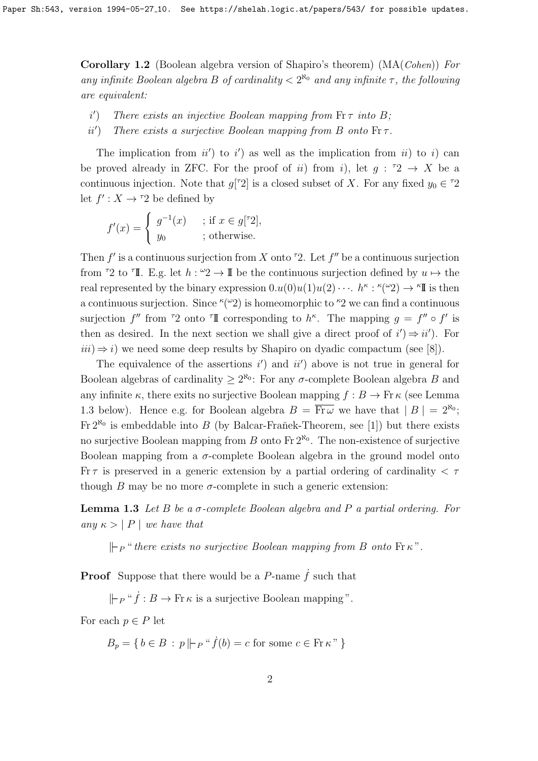Corollary 1.2 (Boolean algebra version of Shapiro's theorem) (MA(Cohen)) For any infinite Boolean algebra B of cardinality  $\langle 2^{R_0} \rangle$  and any infinite  $\tau$ , the following are equivalent:

- $i'$ There exists an injective Boolean mapping from  $\text{Fr}\tau$  into B:
- $ii'$ There exists a surjective Boolean mapping from B onto  $\text{Fr}\tau$ .

The implication from  $ii'$  to  $i'$  as well as the implication from  $ii$  to i) can be proved already in ZFC. For the proof of ii) from i), let  $g: {}^{\tau}2 \rightarrow X$  be a continuous injection. Note that  $g[$ <sup> $\tau$ </sup>2 $]$  is a closed subset of X. For any fixed  $y_0 \in {}^{\tau}2$ let  $f' : X \to \tau 2$  be defined by

$$
f'(x) = \begin{cases} g^{-1}(x) & ; \text{ if } x \in g[72], \\ y_0 & ; \text{ otherwise.} \end{cases}
$$

Then  $f'$  is a continuous surjection from X onto <sup> $\tau$ </sup>2. Let  $f''$  be a continuous surjection from <sup> $\tau$ </sup>2 to  $\tau$ **I**. E.g. let  $h: \mathcal{L} \to \mathbb{I}$  be the continuous surjection defined by  $u \mapsto$  the real represented by the binary expression  $0.u(0)u(1)u(2)\cdots h^{\kappa}$ :  $\kappa(\omega_2) \to \kappa I$  is then a continuous surjection. Since  $\kappa(\omega_2)$  is homeomorphic to  $\kappa_2$  we can find a continuous surjection  $f''$  from <sup> $\tau$ </sup>2 onto  $\tau$ **I** corresponding to  $h^{\kappa}$ . The mapping  $g = f'' \circ f'$  is then as desired. In the next section we shall give a direct proof of  $i' \rightarrow ii'$ . For  $iii) \Rightarrow i$ ) we need some deep results by Shapiro on dyadic compactum (see [8]).

The equivalence of the assertions  $i'$  and  $ii'$  above is not true in general for Boolean algebras of cardinality  $\geq 2^{\aleph_0}$ : For any  $\sigma$ -complete Boolean algebra B and any infinite  $\kappa$ , there exits no surjective Boolean mapping  $f : B \to Fr \kappa$  (see Lemma 1.3 below). Hence e.g. for Boolean algebra  $B = \overline{\text{Fr}\omega}$  we have that  $|B| = 2^{\aleph_0}$ ;  $\text{Fr } 2^{\aleph_0}$  is embeddable into B (by Balcar-Frañek-Theorem, see [1]) but there exists no surjective Boolean mapping from B onto Fr  $2^{\aleph_0}$ . The non-existence of surjective Boolean mapping from a  $\sigma$ -complete Boolean algebra in the ground model onto Fr  $\tau$  is preserved in a generic extension by a partial ordering of cardinality  $\tau$ though B may be no more  $\sigma$ -complete in such a generic extension:

**Lemma 1.3** Let B be a  $\sigma$ -complete Boolean algebra and P a partial ordering. For any  $\kappa > |P|$  we have that

 $\mathcal{L}_{P}$  " there exists no surjective Boolean mapping from B onto Fr  $\kappa$ ".

**Proof** Suppose that there would be a P-name  $\dot{f}$  such that

 $\Vert \vdash_{P} "f : B \to \text{Fr} \kappa \text{ is a surjective Boolean mapping}$ ".

For each  $p \in P$  let

 $B_p = \{ b \in B : p \Vdash_{P} "f(b) = c \text{ for some } c \in \text{Fr} \,\kappa" \}$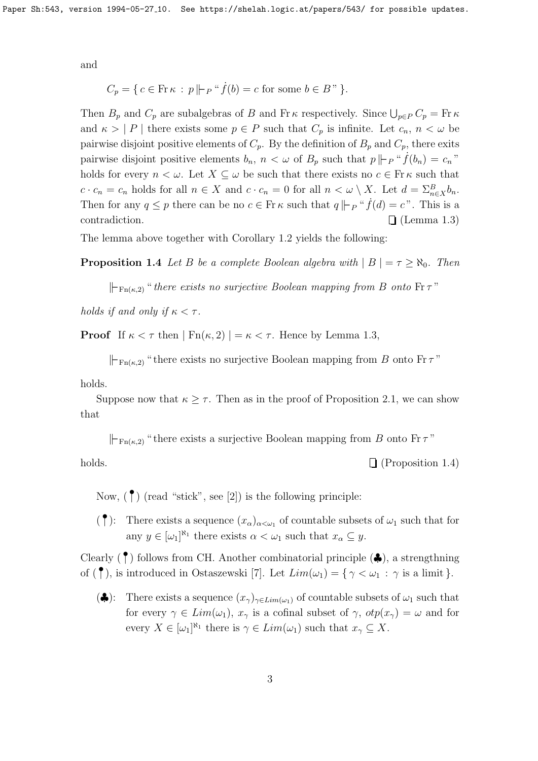and

$$
C_p = \{ c \in \text{Fr } \kappa : p \mid\mid P^u \dot{f}(b) = c \text{ for some } b \in B \text{ '' } \}.
$$

Then  $B_p$  and  $C_p$  are subalgebras of B and Fr $\kappa$  respectively. Since  $\bigcup_{p\in P} C_p = \text{Fr}\,\kappa$ and  $\kappa > |P|$  there exists some  $p \in P$  such that  $C_p$  is infinite. Let  $c_n, n < \omega$  be pairwise disjoint positive elements of  $C_p$ . By the definition of  $B_p$  and  $C_p$ , there exits pairwise disjoint positive elements  $b_n$ ,  $n < \omega$  of  $B_p$  such that  $p \mid p \mid^a f(b_n) = c_n$ " holds for every  $n < \omega$ . Let  $X \subseteq \omega$  be such that there exists no  $c \in \mathbb{F}$  k such that  $c \cdot c_n = c_n$  holds for all  $n \in X$  and  $c \cdot c_n = 0$  for all  $n < \omega \setminus X$ . Let  $d = \sum_{n \in X}^B b_n$ . Then for any  $q \leq p$  there can be no  $c \in \text{Fr} \kappa$  such that  $q \Vdash_{P} "f(d) = c"$ . This is a contradiction.  $\Box$  (Lemma 1.3)

The lemma above together with Corollary 1.2 yields the following:

**Proposition 1.4** Let B be a complete Boolean algebra with  $|B| = \tau \ge \aleph_0$ . Then

 $\Vdash_{\text{Fn}(\kappa,2)}$  " there exists no surjective Boolean mapping from B onto  $\text{Fr}\,\tau$ "

holds if and only if  $\kappa < \tau$ .

**Proof** If  $\kappa < \tau$  then  $|\operatorname{Fn}(\kappa, 2)| = \kappa < \tau$ . Hence by Lemma 1.3,

 $\Vdash_{\text{Fn}(\kappa,2)}$  " there exists no surjective Boolean mapping from B onto Fr  $\tau$ "

holds.

Suppose now that  $\kappa \geq \tau$ . Then as in the proof of Proposition 2.1, we can show that

 $\Vdash_{\text{Fn}(\kappa,2)}$  " there exists a surjective Boolean mapping from B onto Fr  $\tau$ "

holds.  $\Box$  (Proposition 1.4)

Now,  $(\uparrow)$  (read "stick", see [2]) is the following principle:

(<sup> $\bullet$ </sup>): There exists a sequence  $(x_{\alpha})_{\alpha<\omega_1}$  of countable subsets of  $\omega_1$  such that for any  $y \in [\omega_1]^{\aleph_1}$  there exists  $\alpha < \omega_1$  such that  $x_\alpha \subseteq y$ .

Clearly  $(\uparrow)$  follows from CH. Another combinatorial principle  $(\clubsuit)$ , a strengthning of  $(\uparrow)$ , is introduced in Ostaszewski [7]. Let  $Lim(\omega_1) = {\gamma \langle \omega_1 : \gamma \text{ is a limit } }$ .

( $\clubsuit$ ): There exists a sequence  $(x_{\gamma})_{\gamma \in Lim(\omega_1)}$  of countable subsets of  $\omega_1$  such that for every  $\gamma \in Lim(\omega_1)$ ,  $x_\gamma$  is a cofinal subset of  $\gamma$ ,  $otp(x_\gamma) = \omega$  and for every  $X \in [\omega_1]^{\aleph_1}$  there is  $\gamma \in Lim(\omega_1)$  such that  $x_{\gamma} \subseteq X$ .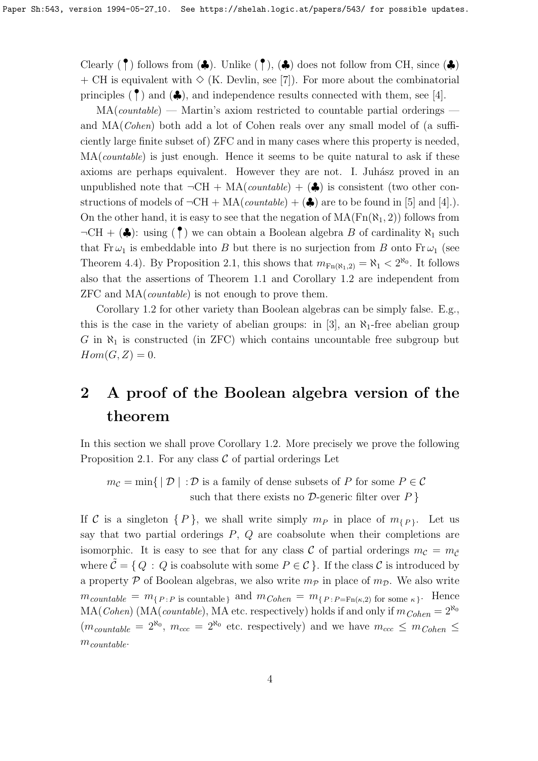Clearly  $(\uparrow)$  follows from  $(\clubsuit)$ . Unlike  $(\uparrow)$ ,  $(\clubsuit)$  does not follow from CH, since  $(\clubsuit)$ + CH is equivalent with  $\Diamond$  (K. Devlin, see [7]). For more about the combinatorial principles  $(\uparrow)$  and  $(\clubsuit)$ , and independence results connected with them, see [4].

 $MA(countable)$  — Martin's axiom restricted to countable partial orderings and MA(Cohen) both add a lot of Cohen reals over any small model of (a sufficiently large finite subset of) ZFC and in many cases where this property is needed,  $MA(countable)$  is just enough. Hence it seems to be quite natural to ask if these axioms are perhaps equivalent. However they are not. I. Juhász proved in an unpublished note that  $\neg \text{CH} + \text{MA}(countable) + (\clubsuit)$  is consistent (two other constructions of models of  $\neg \text{CH} + \text{MA}(countable) + (\clubsuit)$  are to be found in [5] and [4].). On the other hand, it is easy to see that the negation of  $MA(Fn(\aleph_1, 2))$  follows from  $\neg \text{CH} + (\clubsuit)$ : using  $(\uparrow)$  we can obtain a Boolean algebra B of cardinality  $\aleph_1$  such that  $Fr \omega_1$  is embeddable into B but there is no surjection from B onto  $Fr \omega_1$  (see Theorem 4.4). By Proposition 2.1, this shows that  $m_{Fn(N_1,2)} = \aleph_1 < 2^{\aleph_0}$ . It follows also that the assertions of Theorem 1.1 and Corollary 1.2 are independent from ZFC and MA(countable) is not enough to prove them.

Corollary 1.2 for other variety than Boolean algebras can be simply false. E.g., this is the case in the variety of abelian groups: in [3], an  $\aleph_1$ -free abelian group G in  $\aleph_1$  is constructed (in ZFC) which contains uncountable free subgroup but  $Hom(G, Z) = 0.$ 

# 2 A proof of the Boolean algebra version of the theorem

In this section we shall prove Corollary 1.2. More precisely we prove the following Proposition 2.1. For any class  $C$  of partial orderings Let

 $m_{\mathcal{C}} = \min \{ | \mathcal{D} | : \mathcal{D} \text{ is a family of dense subsets of } P \text{ for some } P \in \mathcal{C} \}$ such that there exists no  $\mathcal{D}$ -generic filter over  $P$  }

If C is a singleton  $\{P\}$ , we shall write simply  $m_P$  in place of  $m_{\{P\}}$ . Let us say that two partial orderings  $P$ ,  $Q$  are coabsolute when their completions are isomorphic. It is easy to see that for any class C of partial orderings  $m_c = m_{\tilde{c}}$ where  $\mathcal{C} = \{Q : Q \text{ is coabsolute with some } P \in \mathcal{C}\}\.$  If the class C is introduced by a property P of Boolean algebras, we also write  $m_{\mathcal{P}}$  in place of  $m_{\mathcal{D}}$ . We also write  $m_{countable} = m_{\{P : P \text{ is countable}\}}$  and  $m_{Cohen} = m_{\{P : P = \text{Fn}(\kappa,2)\}}$  for some  $\kappa\}$ . Hence  $MA(Cohen) (MA(countable), MA etc. respectively) holds if and only if  $m_{Cohen} = 2^{\aleph_0}$$  $(m_{countable} = 2^{\aleph_0}, m_{ccc} = 2^{\aleph_0}$  etc. respectively) and we have  $m_{ccc} \leq m_{Cohen} \leq$  $m_{countable}$ .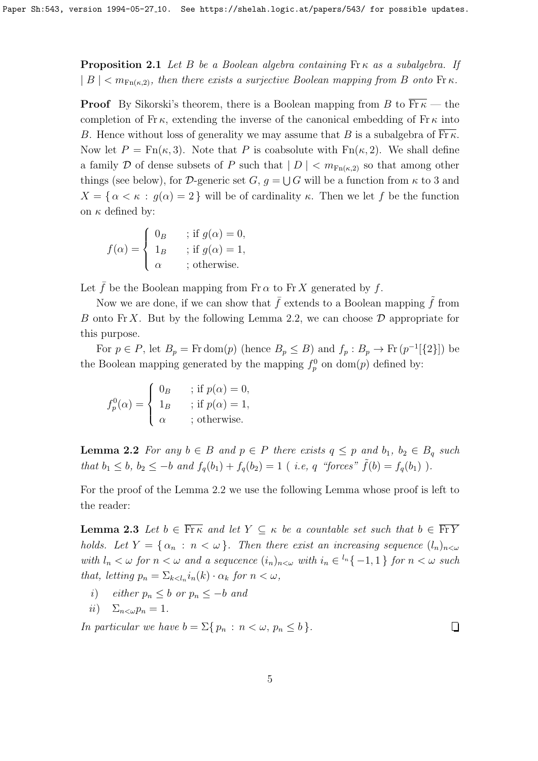**Proposition 2.1** Let B be a Boolean algebra containing  $\text{Fr} \kappa$  as a subalgebra. If  $|B| < m_{\text{Fn}(\kappa,2)}$ , then there exists a surjective Boolean mapping from B onto Fr  $\kappa$ .

**Proof** By Sikorski's theorem, there is a Boolean mapping from B to  $\overline{\text{Fr}_{K}}$  — the completion of Fr  $\kappa$ , extending the inverse of the canonical embedding of Fr  $\kappa$  into B. Hence without loss of generality we may assume that B is a subalgebra of  $\overline{\text{Fr}_{\kappa}}$ . Now let  $P = \text{Fn}(\kappa, 3)$ . Note that P is coabsolute with  $\text{Fn}(\kappa, 2)$ . We shall define a family D of dense subsets of P such that  $|D| < m_{\text{Fn}(\kappa,2)}$  so that among other things (see below), for D-generic set  $G, g = \bigcup G$  will be a function from  $\kappa$  to 3 and  $X = \{ \alpha < \kappa : g(\alpha) = 2 \}$  will be of cardinality  $\kappa$ . Then we let f be the function on  $\kappa$  defined by:

$$
f(\alpha) = \begin{cases} 0_B & \text{; if } g(\alpha) = 0, \\ 1_B & \text{; if } g(\alpha) = 1, \\ \alpha & \text{; otherwise.} \end{cases}
$$

Let  $\bar{f}$  be the Boolean mapping from Fr  $\alpha$  to Fr X generated by f.

Now we are done, if we can show that  $\bar{f}$  extends to a Boolean mapping  $\tilde{f}$  from B onto Fr X. But by the following Lemma 2.2, we can choose  $\mathcal D$  appropriate for this purpose.

For  $p \in P$ , let  $B_p = \text{Fr dom}(p)$  (hence  $B_p \leq B$ ) and  $f_p : B_p \to \text{Fr}(p^{-1}[\{2\}])$  be the Boolean mapping generated by the mapping  $f_p^0$  on dom(*p*) defined by:

$$
f_p^0(\alpha) = \begin{cases} 0_B & \text{; if } p(\alpha) = 0, \\ 1_B & \text{; if } p(\alpha) = 1, \\ \alpha & \text{; otherwise.} \end{cases}
$$

**Lemma 2.2** For any  $b \in B$  and  $p \in P$  there exists  $q \leq p$  and  $b_1, b_2 \in B_q$  such that  $b_1 \leq b$ ,  $b_2 \leq -b$  and  $f_q(b_1) + f_q(b_2) = 1$  (*i.e.*, q "forces"  $\tilde{f}(b) = f_q(b_1)$ ).

For the proof of the Lemma 2.2 we use the following Lemma whose proof is left to the reader:

**Lemma 2.3** Let  $b \in \overline{\text{Fr}_{K}}$  and let  $Y \subseteq \kappa$  be a countable set such that  $b \in \overline{\text{Fr}_{K}}$ holds. Let  $Y = \{ \alpha_n : n < \omega \}$ . Then there exist an increasing sequence  $(l_n)_{n < \omega}$ with  $l_n < \omega$  for  $n < \omega$  and a sequence  $(i_n)_{n < \omega}$  with  $i_n \in {}^{l_n} \{-1,1\}$  for  $n < \omega$  such that, letting  $p_n = \sum_{k \leq l_n} i_n(k) \cdot \alpha_k$  for  $n < \omega$ ,

- i) either  $p_n \leq b$  or  $p_n \leq -b$  and
- ii)  $\Sigma_{n\leq \omega} p_n = 1$ .

In particular we have  $b = \sum \{ p_n : n < \omega, p_n \leq b \}.$ 

 $\Box$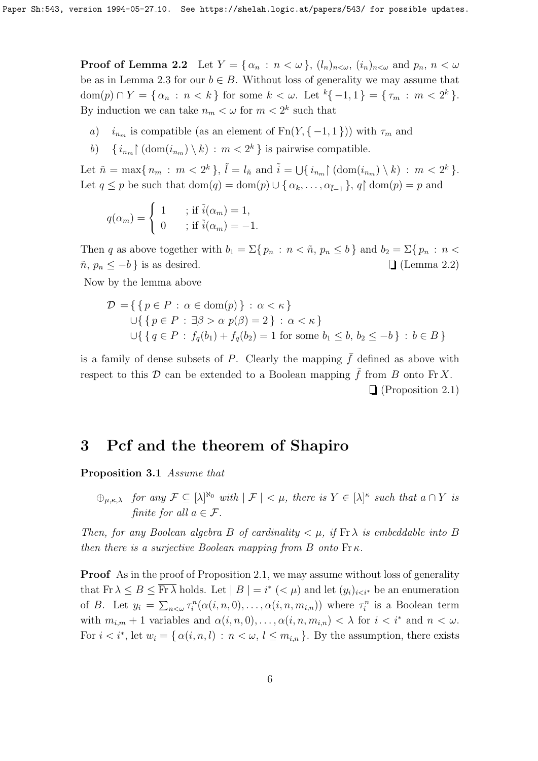**Proof of Lemma 2.2** Let  $Y = \{ \alpha_n : n < \omega \}, (l_n)_{n < \omega}, (i_n)_{n < \omega} \text{ and } p_n, n < \omega \}$ be as in Lemma 2.3 for our  $b \in B$ . Without loss of generality we may assume that  $dom(p) \cap Y = \{ \alpha_n : n < k \}$  for some  $k < \omega$ . Let  ${}^k\{-1,1\} = \{\tau_m : m < 2^k \}.$ By induction we can take  $n_m < \omega$  for  $m < 2^k$  such that

- a)  $i_{n_m}$  is compatible (as an element of Fn(Y, {-1, 1})) with  $\tau_m$  and
- b)  $\{i_{n_m}\}\left(\text{dom}(i_{n_m})\setminus k\right) : m < 2^k\}$  is pairwise compatible.

Let  $\tilde{n} = \max\{n_m : m < 2^k\}, \tilde{l} = l_{\tilde{n}} \text{ and } \tilde{i} = \bigcup\{i_{n_m} \} \left(\text{dom}(i_{n_m}) \setminus k\right) : m < 2^k\}.$ Let  $q \leq p$  be such that  $dom(q) = dom(p) \cup \{ \alpha_k, \ldots, \alpha_{\tilde{l}-1} \}, q \mid dom(p) = p$  and

$$
q(\alpha_m) = \begin{cases} 1 & ; \text{ if } \tilde{i}(\alpha_m) = 1, \\ 0 & ; \text{ if } \tilde{i}(\alpha_m) = -1. \end{cases}
$$

Then q as above together with  $b_1 = \sum\{p_n : n < \tilde{n}, p_n \leq b\}$  and  $b_2 = \sum\{p_n : n <$  $\tilde{n}, p_n \leq -b$  } is as desired.  $\Box$  (Lemma 2.2)

Now by the lemma above

$$
\mathcal{D} = \{ \{ p \in P : \alpha \in \text{dom}(p) \} : \alpha < \kappa \}
$$
\n
$$
\cup \{ \{ p \in P : \exists \beta > \alpha \ p(\beta) = 2 \} : \alpha < \kappa \}
$$
\n
$$
\cup \{ \{ q \in P : f_q(b_1) + f_q(b_2) = 1 \text{ for some } b_1 \le b, b_2 \le -b \} : b \in B \}
$$

is a family of dense subsets of P. Clearly the mapping  $\bar{f}$  defined as above with respect to this  $\mathcal D$  can be extended to a Boolean mapping  $\tilde f$  from B onto Fr X. (Proposition 2.1)

### 3 Pcf and the theorem of Shapiro

Proposition 3.1 Assume that

 $\bigoplus_{\mu,\kappa,\lambda}$  for any  $\mathcal{F} \subseteq [\lambda]^{\aleph_0}$  with  $|\mathcal{F}| < \mu$ , there is  $Y \in [\lambda]^{\kappa}$  such that  $a \cap Y$  is finite for all  $a \in \mathcal{F}$ .

Then, for any Boolean algebra B of cardinality  $\lt \mu$ , if  $\text{Fr}\lambda$  is embeddable into B then there is a surjective Boolean mapping from B onto  $\operatorname{Fr}\kappa$ .

**Proof** As in the proof of Proposition 2.1, we may assume without loss of generality that  $\text{Fr } \lambda \leq B \leq \overline{\text{Fr } \lambda}$  holds. Let  $|B| = i^* (< \mu)$  and let  $(y_i)_{i \leq i^*}$  be an enumeration of B. Let  $y_i = \sum_{n < \omega} \tau_i^n(\alpha(i, n, 0), \ldots, \alpha(i, n, m_{i,n}))$  where  $\tau_i^n$  is a Boolean term with  $m_{i,m} + 1$  variables and  $\alpha(i, n, 0), \ldots, \alpha(i, n, m_{i,n}) < \lambda$  for  $i < i^*$  and  $n < \omega$ . For  $i < i^*$ , let  $w_i = \{ \alpha(i, n, l) : n < \omega, l \leq m_{i,n} \}$ . By the assumption, there exists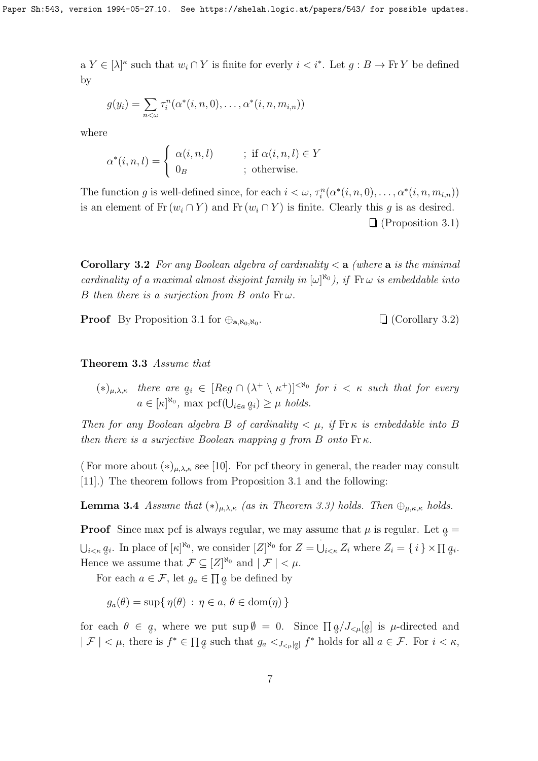a  $Y \in [\lambda]^{\kappa}$  such that  $w_i \cap Y$  is finite for everly  $i < i^*$ . Let  $g : B \to \text{Fr } Y$  be defined by

$$
g(y_i) = \sum_{n<\omega} \tau_i^n(\alpha^*(i,n,0),\ldots,\alpha^*(i,n,m_{i,n}))
$$

where

$$
\alpha^*(i, n, l) = \begin{cases} \alpha(i, n, l) & ; \text{ if } \alpha(i, n, l) \in Y \\ 0_B & ; \text{ otherwise.} \end{cases}
$$

The function g is well-defined since, for each  $i < \omega$ ,  $\tau_i^n(\alpha^*(i, n, 0), \ldots, \alpha^*(i, n, m_{i,n}))$ is an element of  $\text{Fr}(w_i \cap Y)$  and  $\text{Fr}(w_i \cap Y)$  is finite. Clearly this g is as desired. (Proposition 3.1)

**Corollary 3.2** For any Boolean algebra of cardinality  $\lt a$  (where a is the minimal cardinality of a maximal almost disjoint family in  $[\omega]^{\aleph_0}$ , if  $\operatorname{Fr} \omega$  is embeddable into B then there is a surjection from B onto  $\text{Fr}\,\omega$ .

**Proof** By Proposition 3.1 for  $\oplus_{\mathbf{a},\aleph_0,\aleph_0}$ .

 $\Box$  (Corollary 3.2)

#### Theorem 3.3 Assume that

 $(*)_{\mu,\lambda,\kappa}$  there are  $a_i \in [Reg \cap (\lambda^+ \setminus \kappa^+)]^{<\aleph_0}$  for  $i < \kappa$  such that for every  $a \in [\kappa]^{\aleph_0}$ , max  $\operatorname{pcf}(\bigcup_{i\in a}q_i) \geq \mu \text{ holds.}$ 

Then for any Boolean algebra B of cardinality  $\lt \mu$ , if  $\text{Fr}\,\kappa$  is embeddable into B then there is a surjective Boolean mapping q from B onto  $\text{Fr}\,\kappa$ .

( For more about  $(*)_{\mu,\lambda,\kappa}$  see [10]. For pcf theory in general, the reader may consult [11].) The theorem follows from Proposition 3.1 and the following:

**Lemma 3.4** Assume that  $(*)_{\mu,\lambda,\kappa}$  (as in Theorem 3.3) holds. Then  $\bigoplus_{\mu,\kappa,\kappa}$  holds.

**Proof** Since max pcf is always regular, we may assume that  $\mu$  is regular. Let  $\alpha =$  $\bigcup_{i \leq \kappa} q_i$ . In place of  $[\kappa]^{\aleph_0}$ , we consider  $[Z]^{\aleph_0}$  for  $Z = \bigcup_{i \leq \kappa} Z_i$  where  $Z_i = \{i\} \times \prod q_i$ . Hence we assume that  $\mathcal{F} \subseteq [Z]^{\aleph_0}$  and  $| \mathcal{F} | < \mu$ .

For each  $a \in \mathcal{F}$ , let  $g_a \in \prod g$  be defined by

$$
g_a(\theta) = \sup \{ \eta(\theta) : \eta \in a, \theta \in \text{dom}(\eta) \}
$$

for each  $\theta \in \alpha$ , where we put  $\sup \emptyset = 0$ . Since  $\prod_{\alpha} a / J_{\leq \mu}[a_{\alpha}]$  is  $\mu$ -directed and  $|\mathcal{F}| < \mu$ , there is  $f^* \in \prod_{\mathcal{G}} g$  such that  $g_a <_{J_{\leq \mu}[g]} f^*$  holds for all  $a \in \mathcal{F}$ . For  $i < \kappa$ ,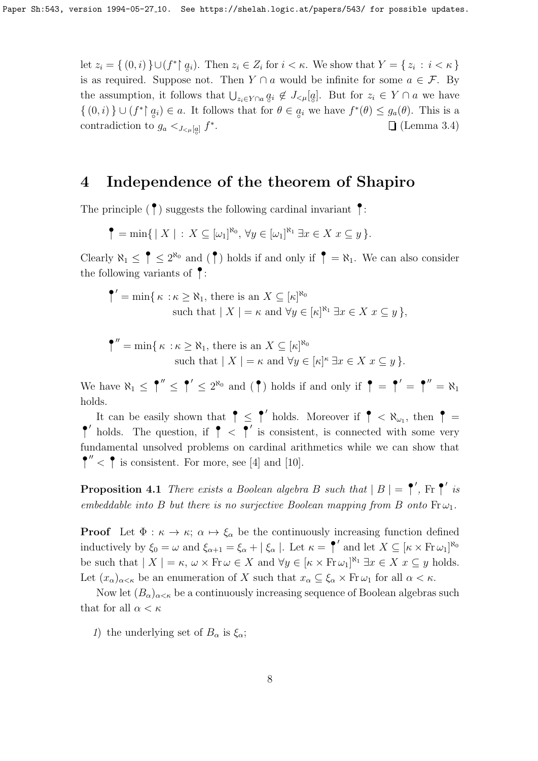let  $z_i = \{ (0,i) \} \cup (f^* \mid q_i)$ . Then  $z_i \in Z_i$  for  $i \leq \kappa$ . We show that  $Y = \{ z_i : i \leq \kappa \}$ is as required. Suppose not. Then  $Y \cap a$  would be infinite for some  $a \in \mathcal{F}$ . By the assumption, it follows that  $\bigcup_{z_i \in Y \cap a} q_i \notin J_{\leq \mu}[q]$ . But for  $z_i \in Y \cap a$  we have  $\{(0,i)\}\cup (f^*\upharpoonright g_i)\in a$ . It follows that for  $\theta\in g_i$  we have  $f^*(\theta)\leq g_a(\theta)$ . This is a contradiction to  $g_a <_{J < \mu[a]} f^*$  $\Box$  (Lemma 3.4)

### 4 Independence of the theorem of Shapiro

The principle  $(\cdot)$  suggests the following cardinal invariant  $\cdot$ :

$$
\P = \min\{ | X | : X \subseteq [\omega_1]^{\aleph_0}, \forall y \in [\omega_1]^{\aleph_1} \exists x \in X \ x \subseteq y \}.
$$

Clearly  $\aleph_1 \leq \uparrow \leq 2^{\aleph_0}$  and  $(\uparrow)$  holds if and only if  $\uparrow = \aleph_1$ . We can also consider the following variants of  $\big\}$ :

$$
\begin{aligned}\n\P' &= \min\{\,\kappa \,:\kappa \ge \aleph_1,\,\text{there is an } X \subseteq [\kappa]^{\aleph_0} \\
&\text{such that } |\,X \,| = \kappa \text{ and } \forall y \in [\kappa]^{\aleph_1} \,\exists x \in X \,x \subseteq y\,\},\n\end{aligned}
$$

$$
\P'' = \min\{\kappa : \kappa \ge \aleph_1, \text{ there is an } X \subseteq [\kappa]^{\aleph_0} \text{ such that } |X| = \kappa \text{ and } \forall y \in [\kappa]^{\kappa} \exists x \in X \ x \subseteq y \}.
$$

We have  $\aleph_1 \leq \uparrow'' \leq \uparrow' \leq 2^{\aleph_0}$  and  $(\uparrow)$  holds if and only if  $\uparrow = \uparrow' = \uparrow'' = \aleph_1$ holds.

It can be easily shown that  $\uparrow \leq \uparrow'$  holds. Moreover if  $\uparrow < \aleph_{\omega_1}$ , then  $\uparrow$  $\uparrow$  holds. The question, if  $\uparrow$  <  $\uparrow$  is consistent, is connected with some very fundamental unsolved problems on cardinal arithmetics while we can show that  $\uparrow$ <sup>"</sup> <  $\uparrow$  is consistent. For more, see [4] and [10].

**Proposition 4.1** There exists a Boolean algebra B such that  $|B| = \uparrow'$ , Fr  $\uparrow'$  is embeddable into B but there is no surjective Boolean mapping from B onto  $\text{Fr}\,\omega_1$ .

**Proof** Let  $\Phi : \kappa \to \kappa$ ;  $\alpha \mapsto \xi_{\alpha}$  be the continuously increasing function defined inductively by  $\xi_0 = \omega$  and  $\xi_{\alpha+1} = \xi_{\alpha} + |\xi_{\alpha}|$ . Let  $\kappa = \uparrow'$  and let  $X \subseteq [\kappa \times Fr\omega_1]^{\aleph_0}$ be such that  $| X | = \kappa$ ,  $\omega \times \text{Fr } \omega \in X$  and  $\forall y \in [\kappa \times \text{Fr } \omega_1]^{\aleph_1} \exists x \in X \ x \subseteq y$  holds. Let  $(x_\alpha)_{\alpha<\kappa}$  be an enumeration of X such that  $x_\alpha\subseteq\xi_\alpha\times\operatorname{Fr}\omega_1$  for all  $\alpha<\kappa$ .

Now let  $(B_{\alpha})_{\alpha<\kappa}$  be a continuously increasing sequence of Boolean algebras such that for all  $\alpha < \kappa$ 

1) the underlying set of  $B_{\alpha}$  is  $\xi_{\alpha}$ ;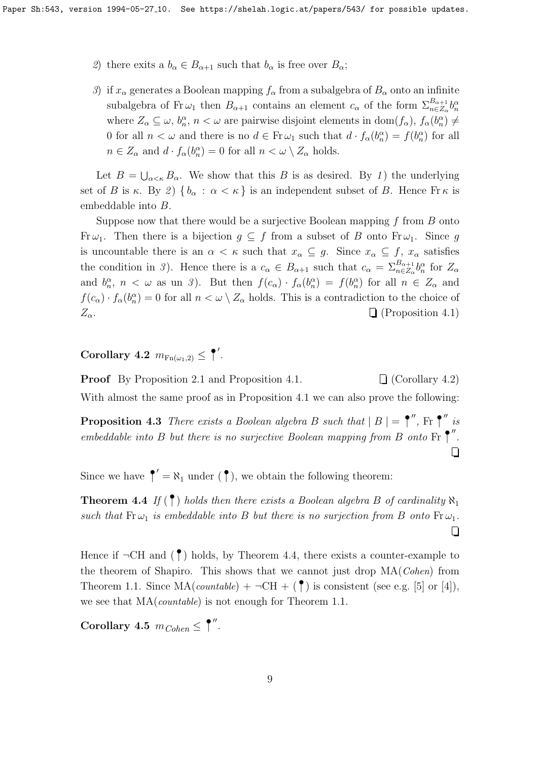- 2) there exits a  $b_{\alpha} \in B_{\alpha+1}$  such that  $b_{\alpha}$  is free over  $B_{\alpha}$ ;
- 3) if  $x_{\alpha}$  generates a Boolean mapping  $f_{\alpha}$  from a subalgebra of  $B_{\alpha}$  onto an infinite subalgebra of Fr $\omega_1$  then  $B_{\alpha+1}$  contains an element  $c_\alpha$  of the form  $\Sigma_{n\in\mathbb{Z}_\alpha}^{B_{\alpha+1}}b_n^\alpha$ where  $Z_{\alpha} \subseteq \omega$ ,  $b_n^{\alpha}$ ,  $n < \omega$  are pairwise disjoint elements in dom $(f_{\alpha})$ ,  $f_{\alpha}(b_n^{\alpha}) \neq$ 0 for all  $n < \omega$  and there is no  $d \in Fr \omega_1$  such that  $d \cdot f_\alpha(b_n^\alpha) = f(b_n^\alpha)$  for all  $n \in Z_\alpha$  and  $d \cdot f_\alpha(b_n^{\alpha}) = 0$  for all  $n < \omega \setminus Z_\alpha$  holds.

Let  $B = \bigcup_{\alpha < \kappa} B_{\alpha}$ . We show that this B is as desired. By 1) the underlying set of B is κ. By 2)  $\{b_{\alpha} : \alpha < \kappa\}$  is an independent subset of B. Hence Fr  $\kappa$  is embeddable into B.

Suppose now that there would be a surjective Boolean mapping  $f$  from  $B$  onto Fr  $\omega_1$ . Then there is a bijection  $g \subseteq f$  from a subset of B onto Fr  $\omega_1$ . Since g is uncountable there is an  $\alpha < \kappa$  such that  $x_{\alpha} \subseteq g$ . Since  $x_{\alpha} \subseteq f$ ,  $x_{\alpha}$  satisfies the condition in 3). Hence there is a  $c_{\alpha} \in B_{\alpha+1}$  such that  $c_{\alpha} = \sum_{n \in \mathbb{Z}_{\alpha}}^{B_{\alpha+1}} b_n^{\alpha}$  for  $\mathbb{Z}_{\alpha}$ and  $b_n^{\alpha}$ ,  $n < \omega$  as un 3). But then  $f(c_{\alpha}) \cdot f_{\alpha}(b_n^{\alpha}) = f(b_n^{\alpha})$  for all  $n \in Z_{\alpha}$  and  $f(c_{\alpha}) \cdot f_{\alpha}(b_{n}^{\alpha}) = 0$  for all  $n < \omega \setminus Z_{\alpha}$  holds. This is a contradiction to the choice of  $Z_{\alpha}$ .  $\Box$  (Proposition 4.1)

Corollary 4.2  $m_{\text{Fn}(\omega_1,2)} \leq$  |'.

**Proof** By Proposition 2.1 and Proposition 4.1.  $\Box$  (Corollary 4.2) With almost the same proof as in Proposition 4.1 we can also prove the following:

**Proposition 4.3** There exists a Boolean algebra B such that  $|B| = \int_{-\infty}^{\infty}$ . Fr  $\int_{-\infty}^{\infty}$  is embeddable into B but there is no surjective Boolean mapping from B onto Fr  $\uparrow$ ".  $\Box$ 

Since we have  $\uparrow' = \aleph_1$  under  $(\uparrow)$ , we obtain the following theorem:

**Theorem 4.4** If  $(\uparrow)$  holds then there exists a Boolean algebra B of cardinality  $\aleph_1$ such that  $\text{Fr}\,\omega_1$  is embeddable into B but there is no surjection from B onto  $\text{Fr}\,\omega_1$ .  $\Box$ 

Hence if  $\neg$ CH and  $(\biguparrow)$  holds, by Theorem 4.4, there exists a counter-example to the theorem of Shapiro. This shows that we cannot just drop MA(Cohen) from Theorem 1.1. Since  $MA(countable) + \neg CH + (\uparrow)$  is consistent (see e.g. [5] or [4]), we see that  $MA(countable)$  is not enough for Theorem 1.1.

Corollary 4.5  $m_{Cohen} \leq \Uparrow''$ .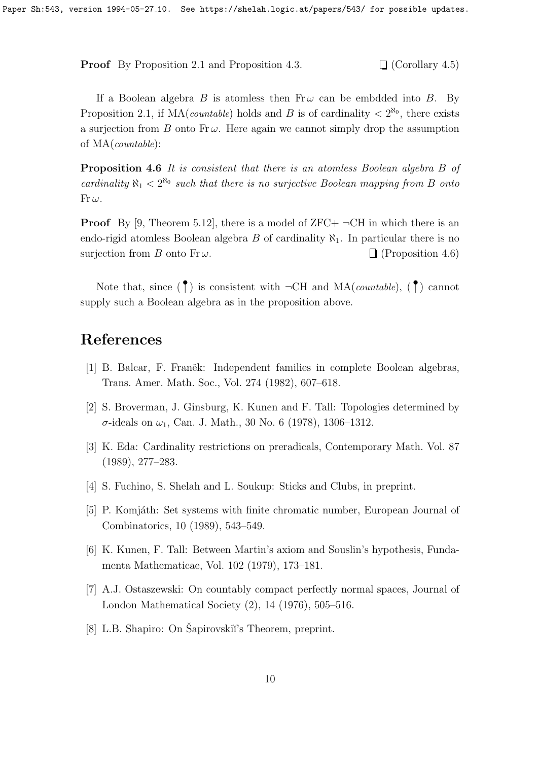**Proof** By Proposition 2.1 and Proposition 4.3.  $\Box$  (Corollary 4.5)

If a Boolean algebra B is atomless then  $Fr\omega$  can be embdded into B. By Proposition 2.1, if  $MA(countable)$  holds and B is of cardinality  $\langle 2^{R_0} \rangle$ , there exists a surjection from B onto Fr $\omega$ . Here again we cannot simply drop the assumption of MA(countable):

Proposition 4.6 It is consistent that there is an atomless Boolean algebra B of cardinality  $\aleph_1 < 2^{\aleph_0}$  such that there is no surjective Boolean mapping from B onto  $Fr \omega$ .

**Proof** By [9, Theorem 5.12], there is a model of ZFC+  $\neg$ CH in which there is an endo-rigid atomless Boolean algebra B of cardinality  $\aleph_1$ . In particular there is no surjection from B onto Fr $\omega$ .  $\Box$  (Proposition 4.6)

Note that, since  $(\uparrow)$  is consistent with  $\neg$ CH and MA(*countable*),  $(\uparrow)$  cannot supply such a Boolean algebra as in the proposition above.

### References

- [1] B. Balcar, F. Franěk: Independent families in complete Boolean algebras, Trans. Amer. Math. Soc., Vol. 274 (1982), 607–618.
- [2] S. Broverman, J. Ginsburg, K. Kunen and F. Tall: Topologies determined by σ-ideals on  $ω_1$ , Can. J. Math., 30 No. 6 (1978), 1306-1312.
- [3] K. Eda: Cardinality restrictions on preradicals, Contemporary Math. Vol. 87 (1989), 277–283.
- [4] S. Fuchino, S. Shelah and L. Soukup: Sticks and Clubs, in preprint.
- [5] P. Komjáth: Set systems with finite chromatic number, European Journal of Combinatorics, 10 (1989), 543–549.
- [6] K. Kunen, F. Tall: Between Martin's axiom and Souslin's hypothesis, Fundamenta Mathematicae, Vol. 102 (1979), 173–181.
- [7] A.J. Ostaszewski: On countably compact perfectly normal spaces, Journal of London Mathematical Society (2), 14 (1976), 505–516.
- [8] L.B. Shapiro: On Šapirovskiĭ's Theorem, preprint.